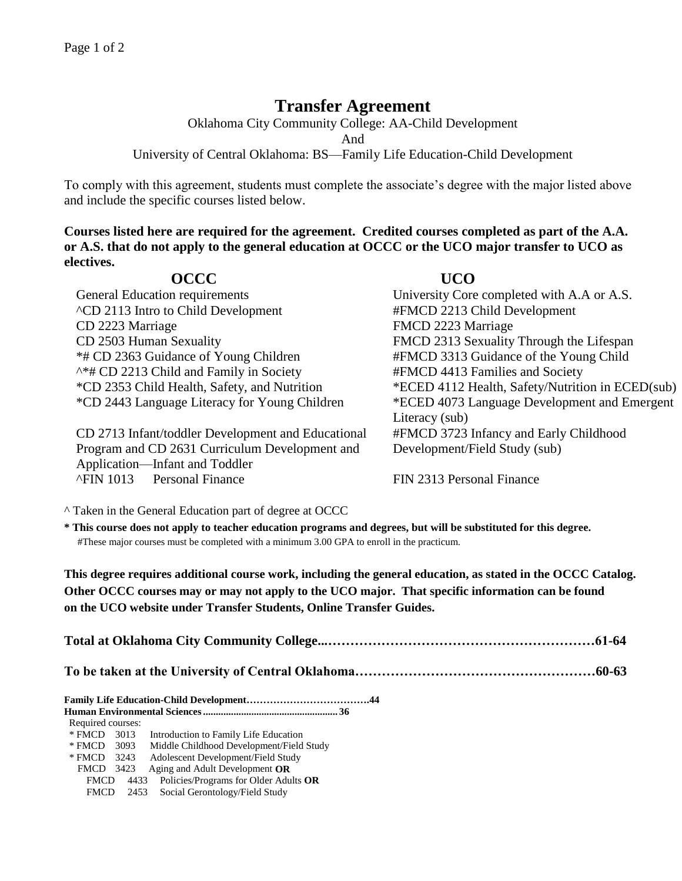## **Transfer Agreement**

Oklahoma City Community College: AA-Child Development

And

University of Central Oklahoma: BS—Family Life Education-Child Development

To comply with this agreement, students must complete the associate's degree with the major listed above and include the specific courses listed below.

**Courses listed here are required for the agreement. Credited courses completed as part of the A.A. or A.S. that do not apply to the general education at OCCC or the UCO major transfer to UCO as electives.**

| <b>OCCC</b>                                        | <b>UCO</b>                                       |  |
|----------------------------------------------------|--------------------------------------------------|--|
| General Education requirements                     | University Core completed with A.A or A.S.       |  |
| <b>ACD 2113 Intro to Child Development</b>         | #FMCD 2213 Child Development                     |  |
| CD 2223 Marriage                                   | FMCD 2223 Marriage                               |  |
| CD 2503 Human Sexuality                            | FMCD 2313 Sexuality Through the Lifespan         |  |
| *# CD 2363 Guidance of Young Children              | #FMCD 3313 Guidance of the Young Child           |  |
| ^*# CD 2213 Child and Family in Society            | #FMCD 4413 Families and Society                  |  |
| *CD 2353 Child Health, Safety, and Nutrition       | *ECED 4112 Health, Safety/Nutrition in ECED(sub) |  |
| *CD 2443 Language Literacy for Young Children      | *ECED 4073 Language Development and Emergent     |  |
|                                                    | Literacy (sub)                                   |  |
| CD 2713 Infant/toddler Development and Educational | #FMCD 3723 Infancy and Early Childhood           |  |
| Program and CD 2631 Curriculum Development and     | Development/Field Study (sub)                    |  |
| Application—Infant and Toddler                     |                                                  |  |
| <b>AFIN 1013</b> Personal Finance                  | FIN 2313 Personal Finance                        |  |

^ Taken in the General Education part of degree at OCCC

**\* This course does not apply to teacher education programs and degrees, but will be substituted for this degree.** #These major courses must be completed with a minimum 3.00 GPA to enroll in the practicum.

**This degree requires additional course work, including the general education, as stated in the OCCC Catalog. Other OCCC courses may or may not apply to the UCO major. That specific information can be found on the UCO website under Transfer Students, Online Transfer Guides.** 

| Required courses: |      |                                                   |  |  |  |  |  |
|-------------------|------|---------------------------------------------------|--|--|--|--|--|
|                   |      | * FMCD 3013 Introduction to Family Life Education |  |  |  |  |  |
| * FMCD 3093       |      | Middle Childhood Development/Field Study          |  |  |  |  |  |
| * FMCD 3243       |      | Adolescent Development/Field Study                |  |  |  |  |  |
| FMCD              | 3423 | Aging and Adult Development OR                    |  |  |  |  |  |

FMCD 4433 Policies/Programs for Older Adults **OR** FMCD 2453 Social Gerontology/Field Study